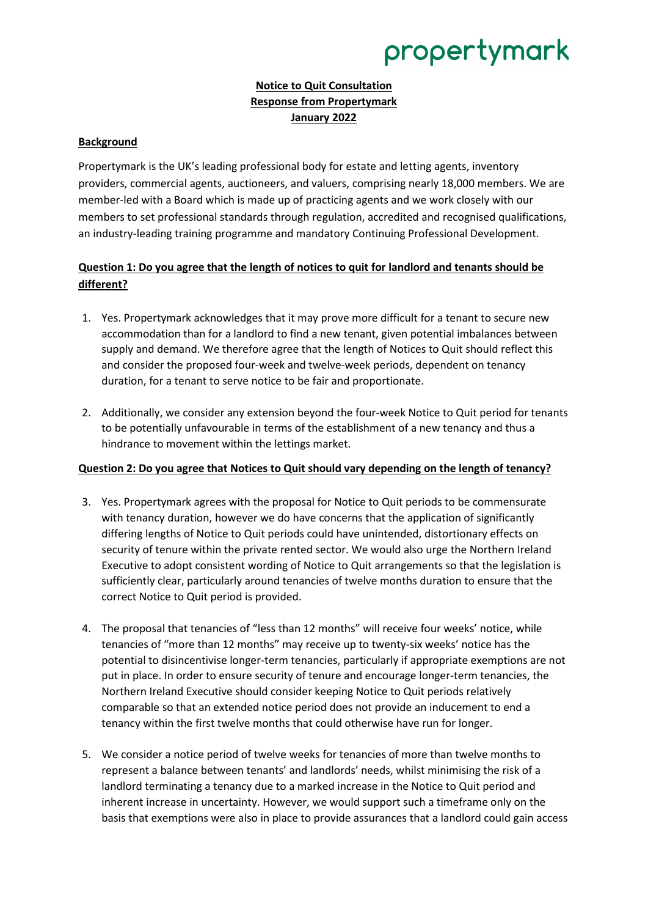# propertymark

## **Notice to Quit Consultation Response from Propertymark January 2022**

### **Background**

Propertymark is the UK's leading professional body for estate and letting agents, inventory providers, commercial agents, auctioneers, and valuers, comprising nearly 18,000 members. We are member-led with a Board which is made up of practicing agents and we work closely with our members to set professional standards through regulation, accredited and recognised qualifications, an industry-leading training programme and mandatory Continuing Professional Development.

## **Question 1: Do you agree that the length of notices to quit for landlord and tenants should be different?**

- 1. Yes. Propertymark acknowledges that it may prove more difficult for a tenant to secure new accommodation than for a landlord to find a new tenant, given potential imbalances between supply and demand. We therefore agree that the length of Notices to Quit should reflect this and consider the proposed four-week and twelve-week periods, dependent on tenancy duration, for a tenant to serve notice to be fair and proportionate.
- 2. Additionally, we consider any extension beyond the four-week Notice to Quit period for tenants to be potentially unfavourable in terms of the establishment of a new tenancy and thus a hindrance to movement within the lettings market.

### **Question 2: Do you agree that Notices to Quit should vary depending on the length of tenancy?**

- 3. Yes. Propertymark agrees with the proposal for Notice to Quit periods to be commensurate with tenancy duration, however we do have concerns that the application of significantly differing lengths of Notice to Quit periods could have unintended, distortionary effects on security of tenure within the private rented sector. We would also urge the Northern Ireland Executive to adopt consistent wording of Notice to Quit arrangements so that the legislation is sufficiently clear, particularly around tenancies of twelve months duration to ensure that the correct Notice to Quit period is provided.
- 4. The proposal that tenancies of "less than 12 months" will receive four weeks' notice, while tenancies of "more than 12 months" may receive up to twenty-six weeks' notice has the potential to disincentivise longer-term tenancies, particularly if appropriate exemptions are not put in place. In order to ensure security of tenure and encourage longer-term tenancies, the Northern Ireland Executive should consider keeping Notice to Quit periods relatively comparable so that an extended notice period does not provide an inducement to end a tenancy within the first twelve months that could otherwise have run for longer.
- 5. We consider a notice period of twelve weeks for tenancies of more than twelve months to represent a balance between tenants' and landlords' needs, whilst minimising the risk of a landlord terminating a tenancy due to a marked increase in the Notice to Quit period and inherent increase in uncertainty. However, we would support such a timeframe only on the basis that exemptions were also in place to provide assurances that a landlord could gain access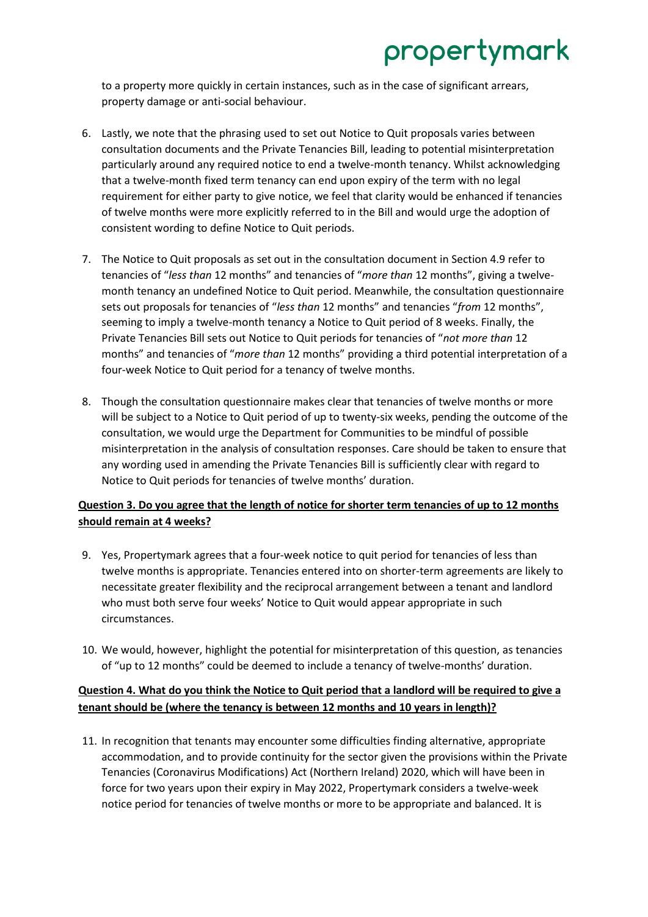# propertymark

to a property more quickly in certain instances, such as in the case of significant arrears, property damage or anti-social behaviour.

- 6. Lastly, we note that the phrasing used to set out Notice to Quit proposals varies between consultation documents and the Private Tenancies Bill, leading to potential misinterpretation particularly around any required notice to end a twelve-month tenancy. Whilst acknowledging that a twelve-month fixed term tenancy can end upon expiry of the term with no legal requirement for either party to give notice, we feel that clarity would be enhanced if tenancies of twelve months were more explicitly referred to in the Bill and would urge the adoption of consistent wording to define Notice to Quit periods.
- 7. The Notice to Quit proposals as set out in the consultation document in Section 4.9 refer to tenancies of "*less than* 12 months" and tenancies of "*more than* 12 months", giving a twelvemonth tenancy an undefined Notice to Quit period. Meanwhile, the consultation questionnaire sets out proposals for tenancies of "*less than* 12 months" and tenancies "*from* 12 months", seeming to imply a twelve-month tenancy a Notice to Quit period of 8 weeks. Finally, the Private Tenancies Bill sets out Notice to Quit periods for tenancies of "*not more than* 12 months" and tenancies of "*more than* 12 months" providing a third potential interpretation of a four-week Notice to Quit period for a tenancy of twelve months.
- 8. Though the consultation questionnaire makes clear that tenancies of twelve months or more will be subject to a Notice to Quit period of up to twenty-six weeks, pending the outcome of the consultation, we would urge the Department for Communities to be mindful of possible misinterpretation in the analysis of consultation responses. Care should be taken to ensure that any wording used in amending the Private Tenancies Bill is sufficiently clear with regard to Notice to Quit periods for tenancies of twelve months' duration.

# **Question 3. Do you agree that the length of notice for shorter term tenancies of up to 12 months should remain at 4 weeks?**

- 9. Yes, Propertymark agrees that a four-week notice to quit period for tenancies of less than twelve months is appropriate. Tenancies entered into on shorter-term agreements are likely to necessitate greater flexibility and the reciprocal arrangement between a tenant and landlord who must both serve four weeks' Notice to Quit would appear appropriate in such circumstances.
- 10. We would, however, highlight the potential for misinterpretation of this question, as tenancies of "up to 12 months" could be deemed to include a tenancy of twelve-months' duration.

## **Question 4. What do you think the Notice to Quit period that a landlord will be required to give a tenant should be (where the tenancy is between 12 months and 10 years in length)?**

11. In recognition that tenants may encounter some difficulties finding alternative, appropriate accommodation, and to provide continuity for the sector given the provisions within the Private Tenancies (Coronavirus Modifications) Act (Northern Ireland) 2020, which will have been in force for two years upon their expiry in May 2022, Propertymark considers a twelve-week notice period for tenancies of twelve months or more to be appropriate and balanced. It is